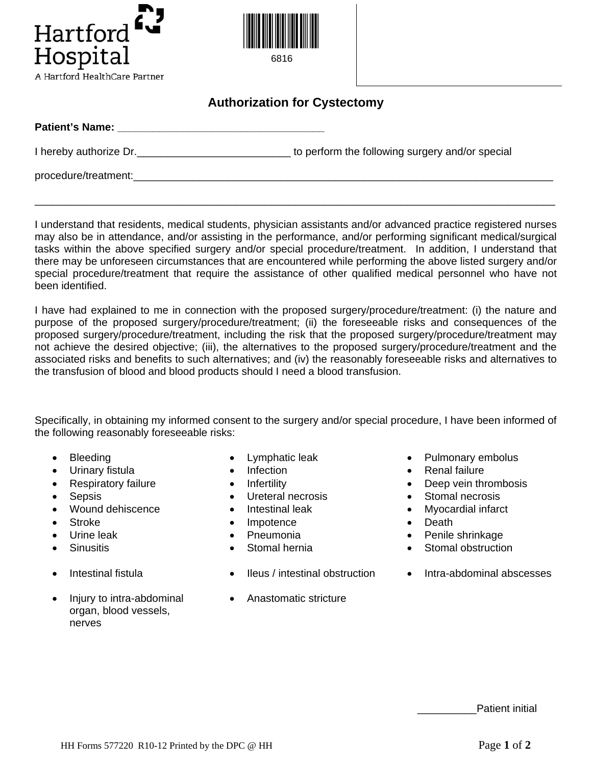



6816

## **Authorization for Cystectomy**

| <b>Patient's Name:</b> |                                                 |
|------------------------|-------------------------------------------------|
| I hereby authorize Dr. | to perform the following surgery and/or special |
| procedure/treatment:   |                                                 |

I understand that residents, medical students, physician assistants and/or advanced practice registered nurses may also be in attendance, and/or assisting in the performance, and/or performing significant medical/surgical tasks within the above specified surgery and/or special procedure/treatment. In addition, I understand that there may be unforeseen circumstances that are encountered while performing the above listed surgery and/or special procedure/treatment that require the assistance of other qualified medical personnel who have not been identified.

\_\_\_\_\_\_\_\_\_\_\_\_\_\_\_\_\_\_\_\_\_\_\_\_\_\_\_\_\_\_\_\_\_\_\_\_\_\_\_\_\_\_\_\_\_\_\_\_\_\_\_\_\_\_\_\_\_\_\_\_\_\_\_\_\_\_\_\_\_\_\_\_\_\_\_\_\_\_\_\_\_\_\_\_\_\_\_\_

I have had explained to me in connection with the proposed surgery/procedure/treatment: (i) the nature and purpose of the proposed surgery/procedure/treatment; (ii) the foreseeable risks and consequences of the proposed surgery/procedure/treatment, including the risk that the proposed surgery/procedure/treatment may not achieve the desired objective; (iii), the alternatives to the proposed surgery/procedure/treatment and the associated risks and benefits to such alternatives; and (iv) the reasonably foreseeable risks and alternatives to the transfusion of blood and blood products should I need a blood transfusion.

Specifically, in obtaining my informed consent to the surgery and/or special procedure, I have been informed of the following reasonably foreseeable risks:

- 
- 
- 
- 
- 
- 
- 
- 
- 
- Injury to intra-abdominal organ, blood vessels, nerves
- 
- 
- 
- Sepsis Ureteral necrosis Stomal necrosis
	-
- Stroke Impotence Death
	-
	-
- Intestinal fistula Ileus / intestinal obstruction Intra-abdominal abscesses
- Bleeding Lymphatic leak Pulmonary embolus
	- Urinary fistula **•** Infection Infection Renal failure
	- **Respiratory failure Infertility Infertility Deep vein thrombosis** 
		-
	- Wound dehiscence Intestinal leak Myocardial infarct
		-
	- Urine leak Pneumonia Penile shrinkage
	- Sinusitis Stomal hernia Stomal obstruction
		-
		- Anastomatic stricture

Patient initial